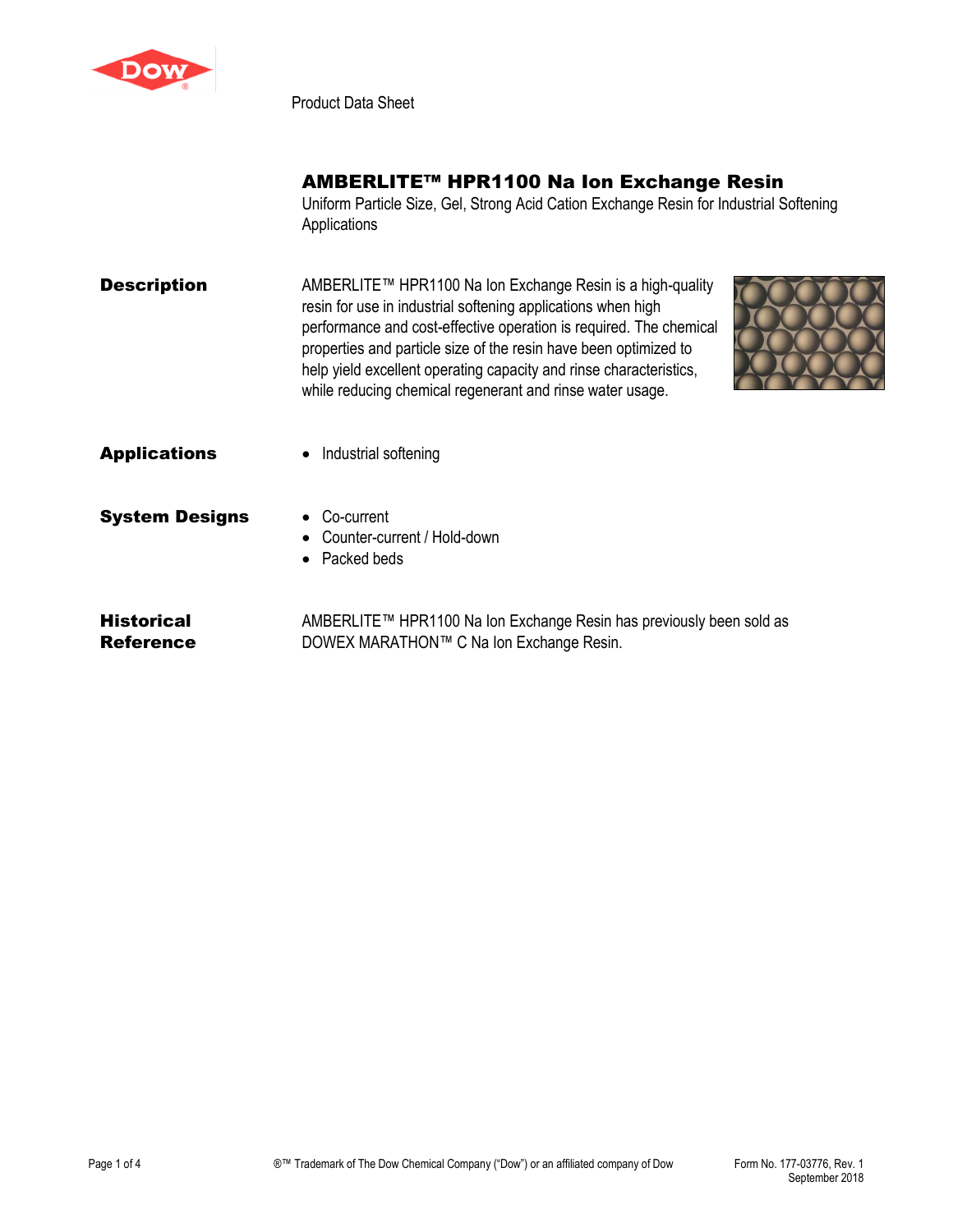

Product Data Sheet

## AMBERLITE™ HPR1100 Na Ion Exchange Resin

Uniform Particle Size, Gel, Strong Acid Cation Exchange Resin for Industrial Softening Applications

**Description** AMBERLITE™ HPR1100 Na Ion Exchange Resin is a high-quality resin for use in industrial softening applications when high performance and cost-effective operation is required. The chemical properties and particle size of the resin have been optimized to help yield excellent operating capacity and rinse characteristics, while reducing chemical regenerant and rinse water usage.



Applications • Industrial softening

- 
- **System Designs Co-current**  Counter-current / Hold-down • Packed beds
- **Historical** Reference AMBERLITE™ HPR1100 Na Ion Exchange Resin has previously been sold as DOWEX MARATHON™ C Na Ion Exchange Resin.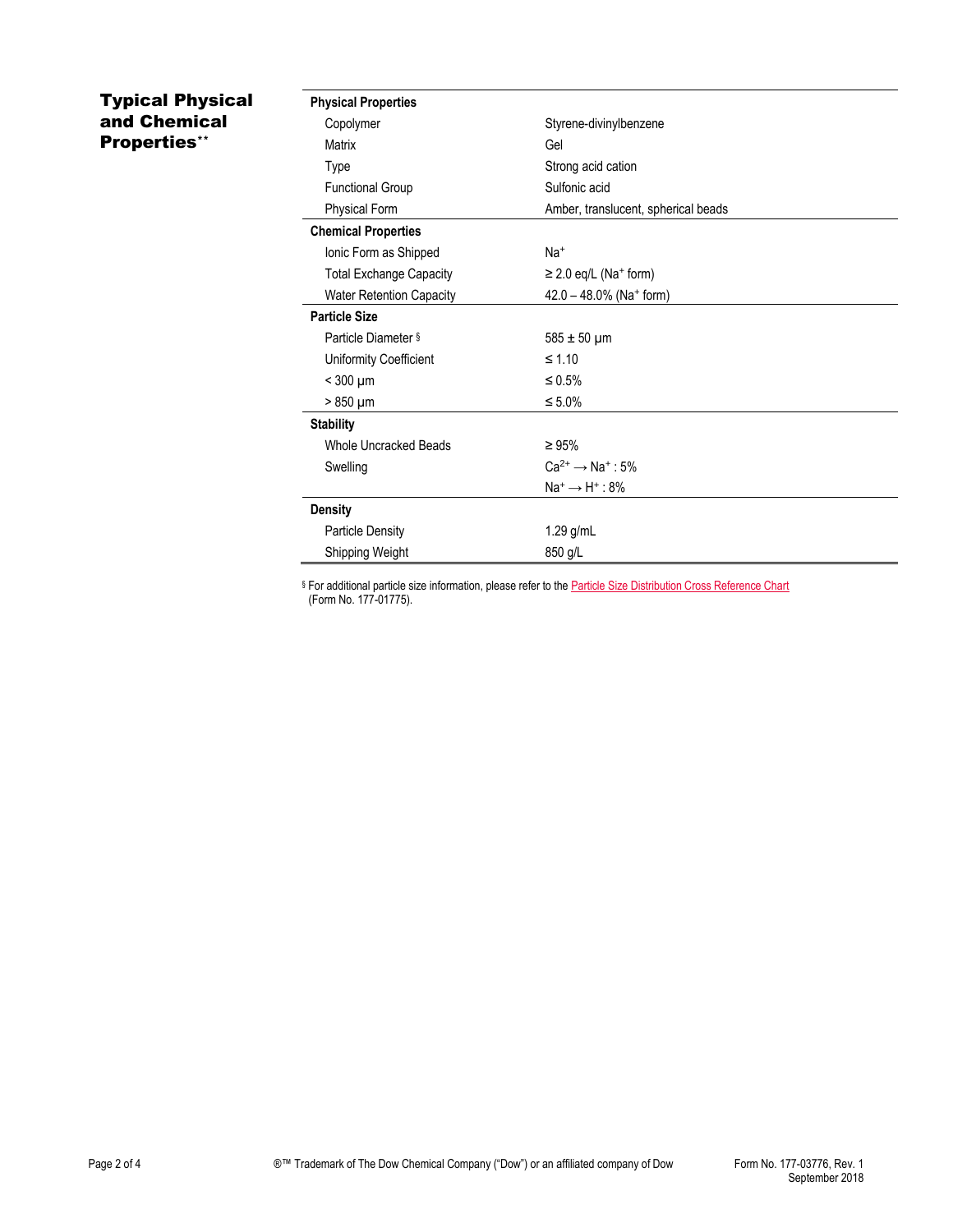## Typical Physical and Chemical Properties\*\*

| <b>Physical Properties</b>      |                                        |  |
|---------------------------------|----------------------------------------|--|
| Copolymer                       | Styrene-divinylbenzene                 |  |
| Matrix                          | Gel                                    |  |
| Type                            | Strong acid cation                     |  |
| <b>Functional Group</b>         | Sulfonic acid                          |  |
| Physical Form                   | Amber, translucent, spherical beads    |  |
| <b>Chemical Properties</b>      |                                        |  |
| Ionic Form as Shipped           | Na <sup>+</sup>                        |  |
| <b>Total Exchange Capacity</b>  | $\geq$ 2.0 eq/L (Na <sup>+</sup> form) |  |
| <b>Water Retention Capacity</b> | 42.0 - 48.0% (Na+ form)                |  |
| <b>Particle Size</b>            |                                        |  |
| Particle Diameter §             | $585 \pm 50 \mu m$                     |  |
| Uniformity Coefficient          | $\leq 1.10$                            |  |
| $<$ 300 $\mu$ m                 | $\leq 0.5\%$                           |  |
| $>850 \mu m$                    | $\leq 5.0\%$                           |  |
| <b>Stability</b>                |                                        |  |
| Whole Uncracked Beads           | $\geq 95\%$                            |  |
| Swelling                        | $Ca^{2+} \rightarrow Na^{+}$ : 5%      |  |
|                                 | $Na^+ \rightarrow H^+$ : 8%            |  |
| <b>Density</b>                  |                                        |  |
| <b>Particle Density</b>         | 1.29 g/mL                              |  |
| Shipping Weight                 | 850 g/L                                |  |

§ For additional particle size information, please refer to th[e Particle Size Distribution Cross Reference Chart](http://www.dow.com/webapps/include/GetDoc.aspx?filepath=liquidseps/pdfs/noreg/177-01775.pdf) (Form No. 177-01775).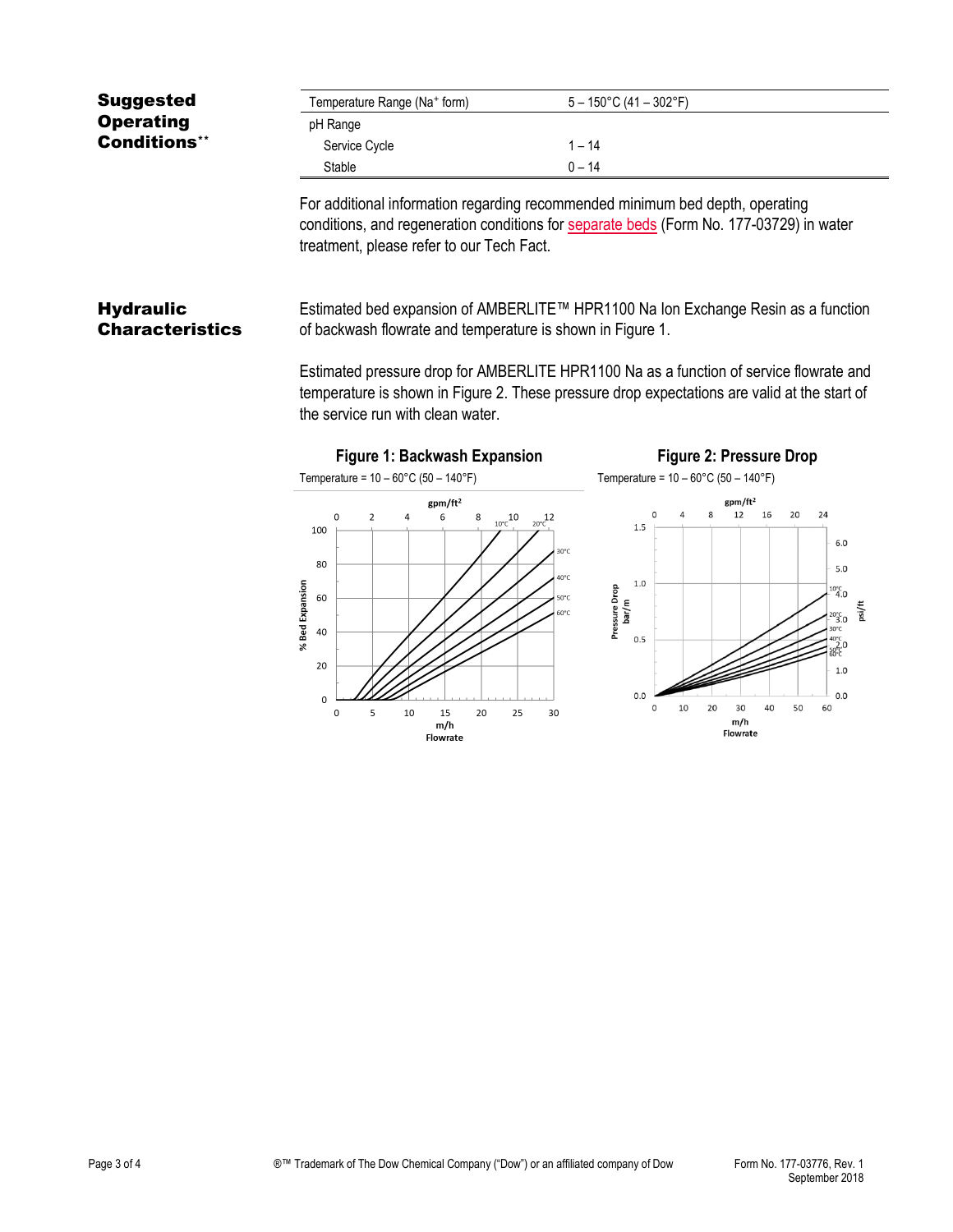| <b>Suggested</b>                           | Temperature Range (Na+ form)                                                                                                                                                                                                                                                                                                                                                   | $5 - 150^{\circ}$ C (41 - 302°F)                                                                                                                                         |  |
|--------------------------------------------|--------------------------------------------------------------------------------------------------------------------------------------------------------------------------------------------------------------------------------------------------------------------------------------------------------------------------------------------------------------------------------|--------------------------------------------------------------------------------------------------------------------------------------------------------------------------|--|
| <b>Operating</b>                           | pH Range                                                                                                                                                                                                                                                                                                                                                                       |                                                                                                                                                                          |  |
| <b>Conditions**</b>                        | Service Cycle                                                                                                                                                                                                                                                                                                                                                                  | $1 - 14$                                                                                                                                                                 |  |
|                                            | Stable                                                                                                                                                                                                                                                                                                                                                                         | $0 - 14$                                                                                                                                                                 |  |
|                                            | treatment, please refer to our Tech Fact.                                                                                                                                                                                                                                                                                                                                      | For additional information regarding recommended minimum bed depth, operating<br>conditions, and regeneration conditions for separate beds (Form No. 177-03729) in water |  |
| <b>Hydraulic</b><br><b>Characteristics</b> | Estimated bed expansion of AMBERLITE™ HPR1100 Na Ion Exchange Resin as a function<br>of backwash flowrate and temperature is shown in Figure 1.<br>Estimated pressure drop for AMBERLITE HPR1100 Na as a function of service flowrate and<br>temperature is shown in Figure 2. These pressure drop expectations are valid at the start of<br>the service run with clean water. |                                                                                                                                                                          |  |
|                                            | <b>Figure 1: Backwash Expansion</b>                                                                                                                                                                                                                                                                                                                                            | <b>Figure 2: Pressure Drop</b>                                                                                                                                           |  |
|                                            | Temperature = $10 - 60^{\circ}$ C (50 - 140°F)                                                                                                                                                                                                                                                                                                                                 | Temperature = $10 - 60^{\circ}$ C (50 - 140°F)                                                                                                                           |  |
|                                            | gpm/ft <sup>2</sup>                                                                                                                                                                                                                                                                                                                                                            | $gpm/ft^2$                                                                                                                                                               |  |
|                                            | $\overline{2}$<br>$\Omega$<br>4<br>8<br>$\frac{10^{6}C}{4}$ <sup>10</sup><br>6<br>100                                                                                                                                                                                                                                                                                          | 12<br>16<br>20<br>24<br>$\mathbf{R}$<br>12<br>$20^{\circ}$ C<br>1.5                                                                                                      |  |
|                                            |                                                                                                                                                                                                                                                                                                                                                                                | 6.0<br>30°C                                                                                                                                                              |  |
|                                            | 80                                                                                                                                                                                                                                                                                                                                                                             | 5.0<br>40°C                                                                                                                                                              |  |
|                                            | 60                                                                                                                                                                                                                                                                                                                                                                             | 1.0<br>$^{10^{\circ}C}_{4.0}$<br>50°C                                                                                                                                    |  |
|                                            | % Bed Expansion                                                                                                                                                                                                                                                                                                                                                                | Pressure Drop<br>bar/m<br>psi/ft<br>60°C<br>$20^{\circ}C$ <sub>3.0</sub><br>30°C                                                                                         |  |
|                                            | 40                                                                                                                                                                                                                                                                                                                                                                             | 0.5<br>2.0                                                                                                                                                               |  |

20

 $\mathsf{o}$ 

 $\mathbf 0$ 

 $\overline{\mathbf{5}}$ 

 $10$ 

 $1.0\,$ 

 $_{0.0}$ 

50 60

40

m/h<br>Flowrate

 $_{0.0}$ 

 $\mathsf{o}$  $10\,$ 20  $30$ 

15<br>m/h<br>Flowrate

 $20\,$ 

25

30